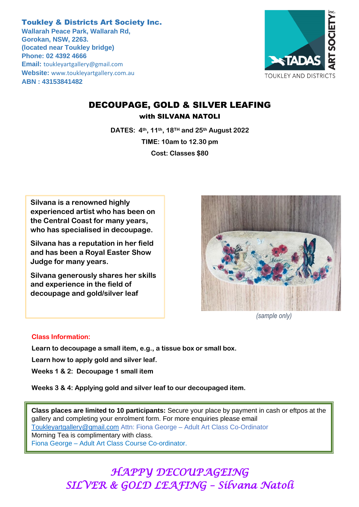Toukley & Districts Art Society Inc. **Wallarah Peace Park, Wallarah Rd, Gorokan, NSW, 2263. (located near Toukley bridge) Phone: 02 4392 4666 Email:** [toukleyartgallery@gmail.com](mailto:toukleyartgallery@gmail.com) **Website:** [www.toukleyartgallery.com.au](http://www.toukleyartgallery.com.au/) **ABN : 43153841482**



### DECOUPAGE, GOLD & SILVER LEAFING with SILVANA NATOLI

**DATES: 4th, 11th, 18TH and 25th August 2022 TIME: 10am to 12.30 pm Cost: Classes \$80**

**Silvana is a renowned highly experienced artist who has been on the Central Coast for many years, who has specialised in decoupage.**

**Silvana has a reputation in her field and has been a Royal Easter Show Judge for many years.**

**Silvana generously shares her skills and experience in the field of decoupage and gold/silver leaf**



*(sample only)*

#### **Class Information:**

**Learn to decoupage a small item, e.g., a tissue box or small box.**

**Learn how to apply gold and silver leaf.**

**Weeks 1 & 2: Decoupage 1 small item**

**Weeks 3 & 4: Applying gold and silver leaf to our decoupaged item.**

**Class places are limited to 10 participants:** Secure your place by payment in cash or eftpos at the gallery and completing your enrolment form. For more enquiries please email [Toukleyartgallery@gmail.com](mailto:Toukleyartgallery@gmail.com) Attn: Fiona George – Adult Art Class Co-Ordinator Morning Tea is complimentary with class.

Fiona George – Adult Art Class Course Co-ordinator.

## *HAPPY DECOUPAGEING SILVER & GOLD LEAFING – Silvana Natoli*